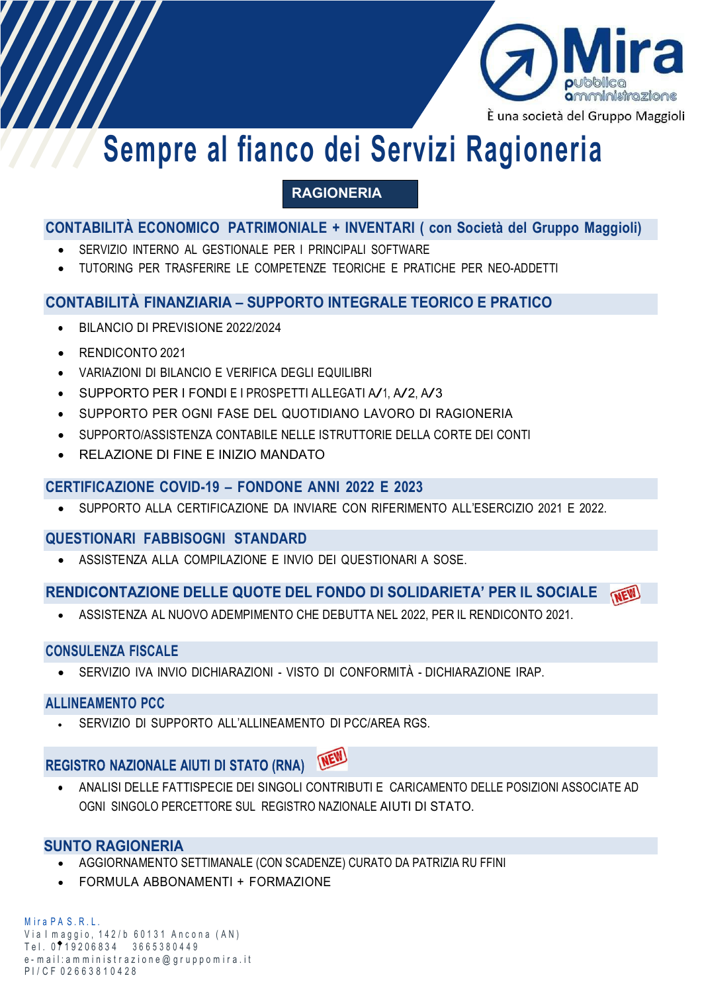

# **Sempre al fianco dei Servizi Ragioneria**

**RAGIONERIA**

# **CONTABILITÀ ECONOMICO PATRIMONIALE + INVENTARI ( con Società del Gruppo Maggioli)**

- SERVIZIO INTERNO AL GESTIONALE PER I PRINCIPALI SOFTWARE
- TUTORING PER TRASFERIRE LE COMPETENZE TEORICHE E PRATICHE PER NEO-ADDETTI

# **CONTABILITÀ FINANZIARIA – SUPPORTO INTEGRALE TEORICO E PRATICO**

- BILANCIO DI PREVISIONE 2022/2024
- RENDICONTO 2021
- VARIAZIONI DI BILANCIO E VERIFICA DEGLI EQUILIBRI
- SUPPORTO PER <sup>I</sup> FONDI <sup>E</sup> I PROSPETTI ALLEGATI A/1, A/2, A/3
- SUPPORTO PER OGNI FASE DEL QUOTIDIANO LAVORO DI RAGIONERIA
- SUPPORTO/ASSISTENZA CONTABILE NELLE ISTRUTTORIE DELLA CORTE DEI CONTI
- RELAZIONE DI FINE E INIZIO MANDATO

### **CERTIFICAZIONE COVID-19 – FONDONE ANNI 2022 E 2023**

• SUPPORTO ALLA CERTIFICAZIONE DA INVIARE CON RIFERIMENTO ALL'ESERCIZIO 2021 E 2022.

# **QUESTIONARI FABBISOGNI STANDARD**

• ASSISTENZA ALLA COMPILAZIONE E INVIO DEI QUESTIONARI A SOSE.

# RENDICONTAZIONE DELLE QUOTE DEL FONDO DI SOLIDARIETA' PER IL SOCIALE

• ASSISTENZA AL NUOVO ADEMPIMENTO CHE DEBUTTA NEL 2022, PER IL RENDICONTO 2021.

# **CONSULENZA FISCALE**

• SERVIZIO IVA INVIO DICHIARAZIONI - VISTO DI CONFORMITÀ - DICHIARAZIONE IRAP.

#### **ALLINEAMENTO PCC**

• SERVIZIO DI SUPPORTO ALL'ALLINEAMENTO DI PCC/AREA RGS.

# **REGISTRO NAZIONALE AIUTI DI STATO (RNA)**

• ANALISI DELLE FATTISPECIE DEI SINGOLI CONTRIBUTI E CARICAMENTO DELLE POSIZIONI ASSOCIATE AD OGNI SINGOLO PERCETTORE SUL REGISTRO NAZIONALE AIUTI DI STATO.

#### **SUNTO RAGIONERIA**

- AGGIORNAMENTO SETTIMANALE (CON SCADENZE) CURATO DA PATRIZIA RU FFINI
- FORMULA ABBONAMENTI + FORMAZIONE

Mira PAS.R.L. Via I maggio, 142/b 60131 Ancona (AN) Tel. 0719206834 3665380449 e - m a il : a m m i n i s t r a z i o n e @ q r u p p o m i r a . i t P I / C F 0 2 6 6 3 8 1 0 4 2 8